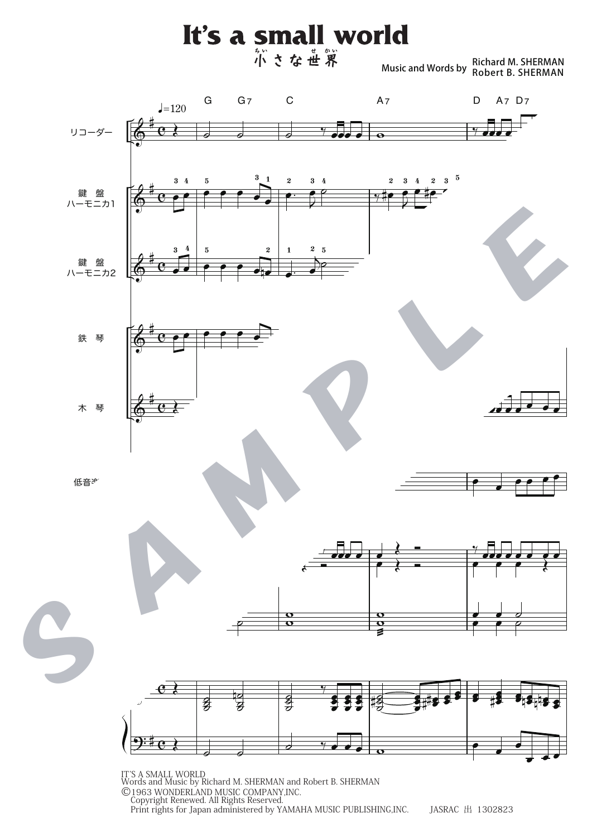Music and Words by Richard M. SHERMAN Robert B. SHERMAN



Print rights for Japan administered by YAMAHA MUSIC PUBLISHING,INC. JASRAC 出 1302823